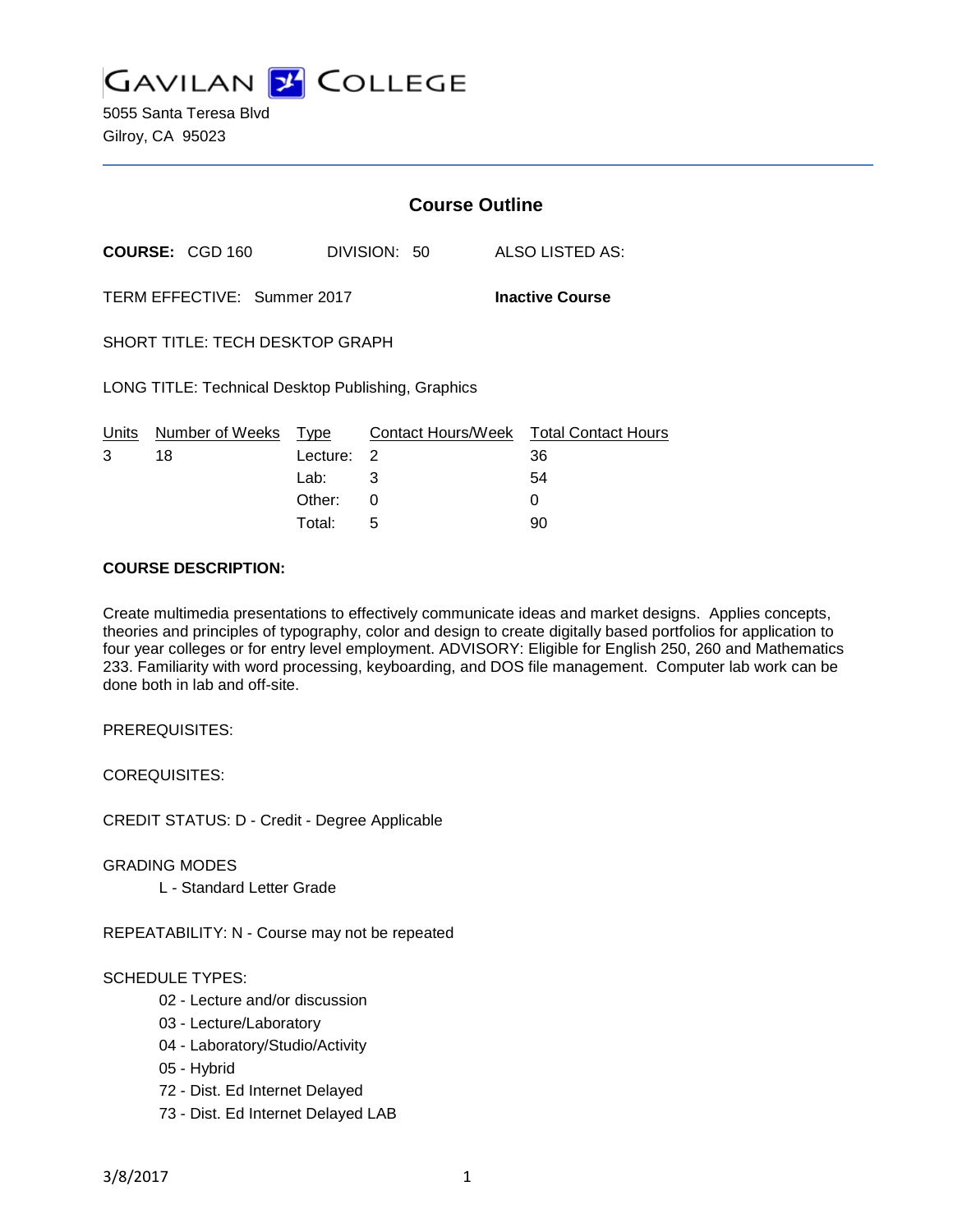

5055 Santa Teresa Blvd Gilroy, CA 95023

|                                                       |                        | <b>Course Outline</b> |                |                    |  |                            |
|-------------------------------------------------------|------------------------|-----------------------|----------------|--------------------|--|----------------------------|
|                                                       | <b>COURSE: CGD 160</b> |                       |                | DIVISION: 50       |  | ALSO LISTED AS:            |
| TERM EFFECTIVE: Summer 2017<br><b>Inactive Course</b> |                        |                       |                |                    |  |                            |
| <b>SHORT TITLE: TECH DESKTOP GRAPH</b>                |                        |                       |                |                    |  |                            |
| LONG TITLE: Technical Desktop Publishing, Graphics    |                        |                       |                |                    |  |                            |
| Units                                                 | Number of Weeks        | Type                  |                | Contact Hours/Week |  | <b>Total Contact Hours</b> |
| 3                                                     | 18                     | Lecture:              | $\overline{2}$ |                    |  | 36                         |
|                                                       |                        | Lab: .                | 3              |                    |  | 54                         |
|                                                       |                        | Other:                | 0              |                    |  | 0                          |

Total: 5 90

#### **COURSE DESCRIPTION:**

Create multimedia presentations to effectively communicate ideas and market designs. Applies concepts, theories and principles of typography, color and design to create digitally based portfolios for application to four year colleges or for entry level employment. ADVISORY: Eligible for English 250, 260 and Mathematics 233. Familiarity with word processing, keyboarding, and DOS file management. Computer lab work can be done both in lab and off-site.

PREREQUISITES:

COREQUISITES:

CREDIT STATUS: D - Credit - Degree Applicable

GRADING MODES

L - Standard Letter Grade

REPEATABILITY: N - Course may not be repeated

# SCHEDULE TYPES:

- 02 Lecture and/or discussion
- 03 Lecture/Laboratory
- 04 Laboratory/Studio/Activity
- 05 Hybrid
- 72 Dist. Ed Internet Delayed
- 73 Dist. Ed Internet Delayed LAB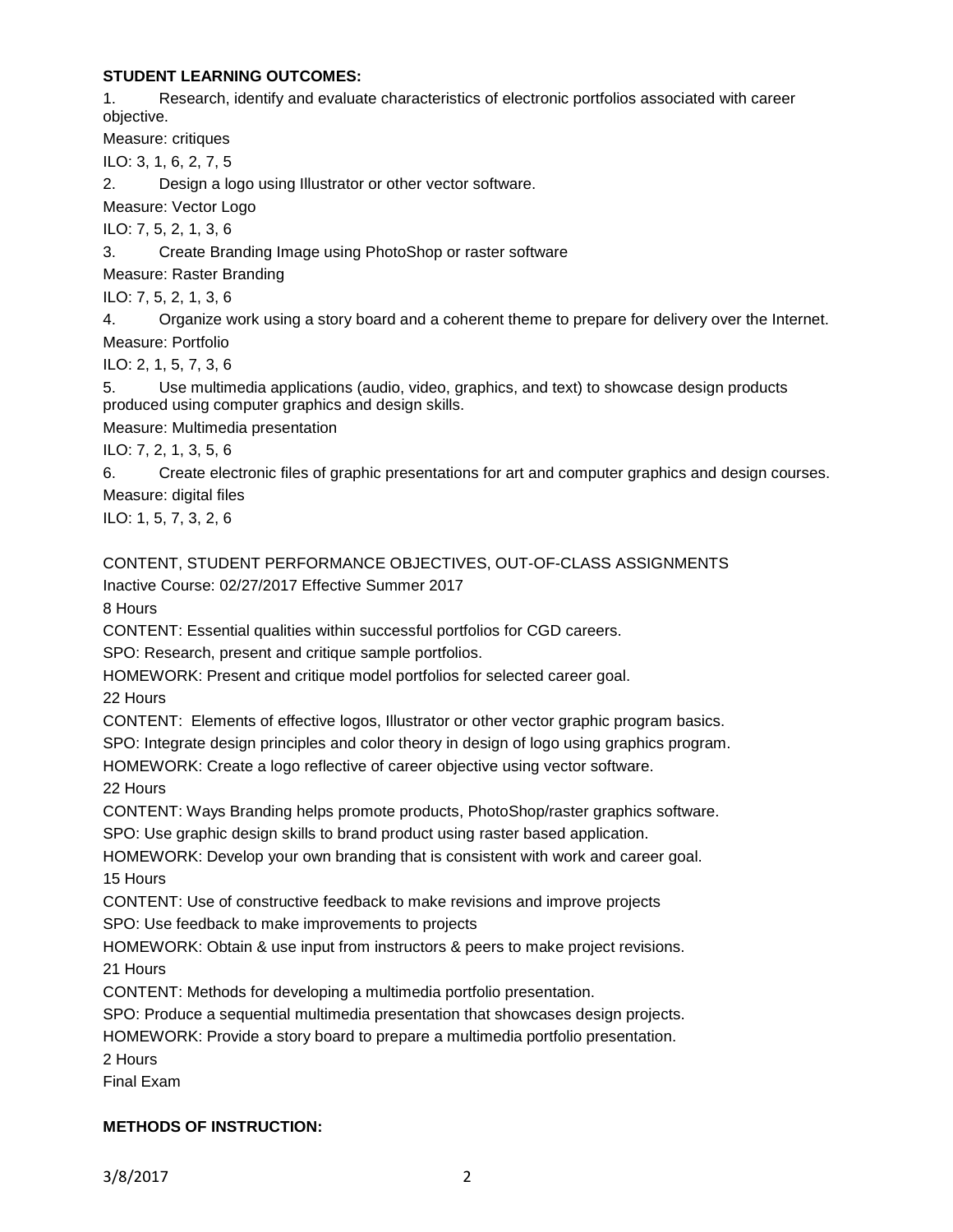# **STUDENT LEARNING OUTCOMES:**

1. Research, identify and evaluate characteristics of electronic portfolios associated with career objective.

Measure: critiques

ILO: 3, 1, 6, 2, 7, 5

2. Design a logo using Illustrator or other vector software.

Measure: Vector Logo

ILO: 7, 5, 2, 1, 3, 6

3. Create Branding Image using PhotoShop or raster software

Measure: Raster Branding

ILO: 7, 5, 2, 1, 3, 6

4. Organize work using a story board and a coherent theme to prepare for delivery over the Internet. Measure: Portfolio

ILO: 2, 1, 5, 7, 3, 6

5. Use multimedia applications (audio, video, graphics, and text) to showcase design products produced using computer graphics and design skills.

Measure: Multimedia presentation

ILO: 7, 2, 1, 3, 5, 6

6. Create electronic files of graphic presentations for art and computer graphics and design courses. Measure: digital files

ILO: 1, 5, 7, 3, 2, 6

CONTENT, STUDENT PERFORMANCE OBJECTIVES, OUT-OF-CLASS ASSIGNMENTS

Inactive Course: 02/27/2017 Effective Summer 2017

8 Hours

CONTENT: Essential qualities within successful portfolios for CGD careers.

SPO: Research, present and critique sample portfolios.

HOMEWORK: Present and critique model portfolios for selected career goal.

22 Hours

CONTENT: Elements of effective logos, Illustrator or other vector graphic program basics.

SPO: Integrate design principles and color theory in design of logo using graphics program.

HOMEWORK: Create a logo reflective of career objective using vector software.

22 Hours

CONTENT: Ways Branding helps promote products, PhotoShop/raster graphics software.

SPO: Use graphic design skills to brand product using raster based application.

HOMEWORK: Develop your own branding that is consistent with work and career goal. 15 Hours

CONTENT: Use of constructive feedback to make revisions and improve projects

SPO: Use feedback to make improvements to projects

HOMEWORK: Obtain & use input from instructors & peers to make project revisions. 21 Hours

CONTENT: Methods for developing a multimedia portfolio presentation.

SPO: Produce a sequential multimedia presentation that showcases design projects.

HOMEWORK: Provide a story board to prepare a multimedia portfolio presentation.

2 Hours

Final Exam

# **METHODS OF INSTRUCTION:**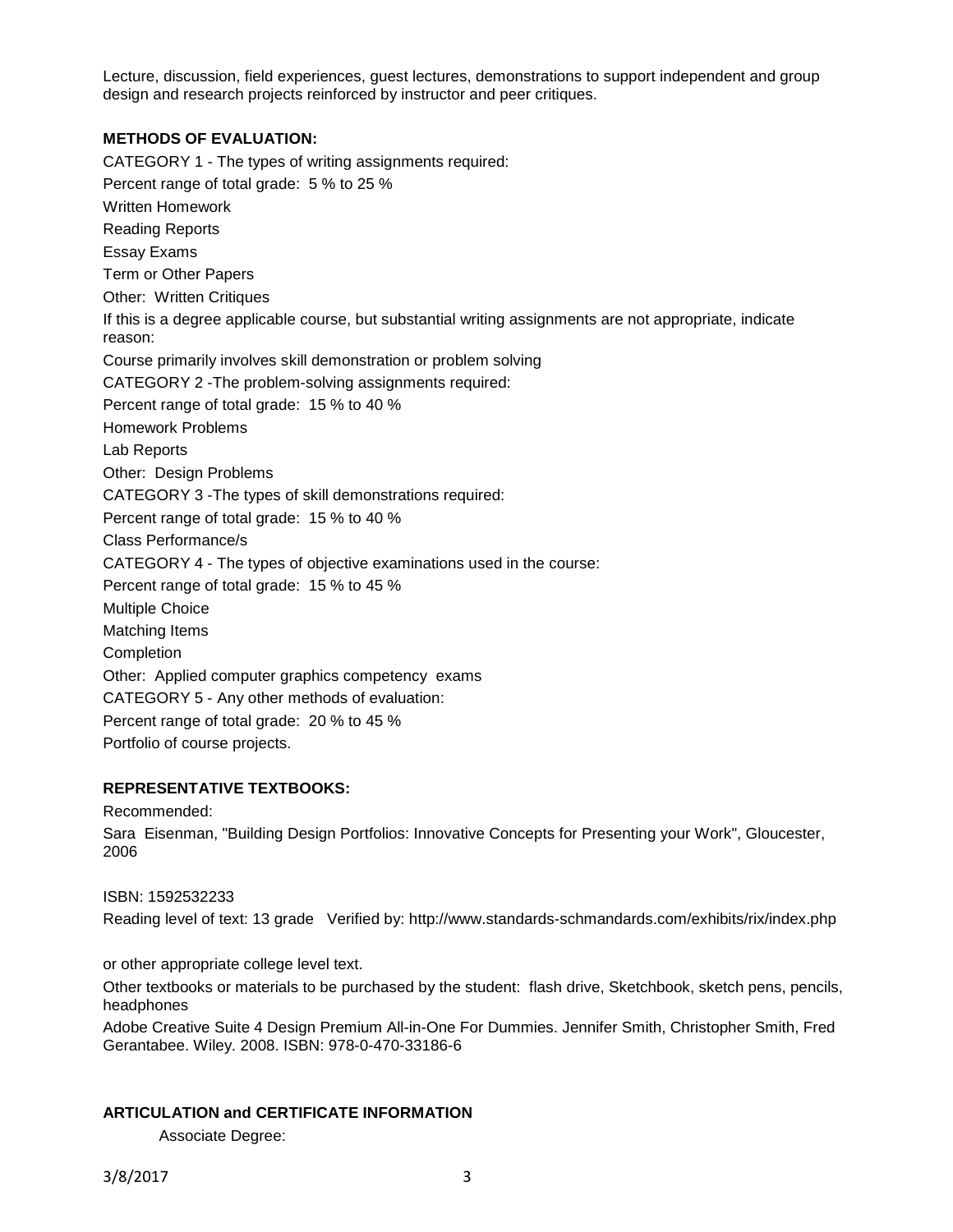Lecture, discussion, field experiences, guest lectures, demonstrations to support independent and group design and research projects reinforced by instructor and peer critiques.

# **METHODS OF EVALUATION:**

CATEGORY 1 - The types of writing assignments required: Percent range of total grade: 5 % to 25 % Written Homework Reading Reports Essay Exams Term or Other Papers Other: Written Critiques If this is a degree applicable course, but substantial writing assignments are not appropriate, indicate reason: Course primarily involves skill demonstration or problem solving CATEGORY 2 -The problem-solving assignments required: Percent range of total grade: 15 % to 40 % Homework Problems Lab Reports Other: Design Problems CATEGORY 3 -The types of skill demonstrations required: Percent range of total grade: 15 % to 40 % Class Performance/s CATEGORY 4 - The types of objective examinations used in the course: Percent range of total grade: 15 % to 45 % Multiple Choice Matching Items **Completion** Other: Applied computer graphics competency exams CATEGORY 5 - Any other methods of evaluation: Percent range of total grade: 20 % to 45 % Portfolio of course projects.

# **REPRESENTATIVE TEXTBOOKS:**

Recommended:

Sara Eisenman, "Building Design Portfolios: Innovative Concepts for Presenting your Work", Gloucester, 2006

# ISBN: 1592532233

Reading level of text: 13 grade Verified by: http://www.standards-schmandards.com/exhibits/rix/index.php

or other appropriate college level text.

Other textbooks or materials to be purchased by the student: flash drive, Sketchbook, sketch pens, pencils, headphones

Adobe Creative Suite 4 Design Premium All-in-One For Dummies. Jennifer Smith, Christopher Smith, Fred Gerantabee. Wiley. 2008. ISBN: 978-0-470-33186-6

# **ARTICULATION and CERTIFICATE INFORMATION**

Associate Degree: